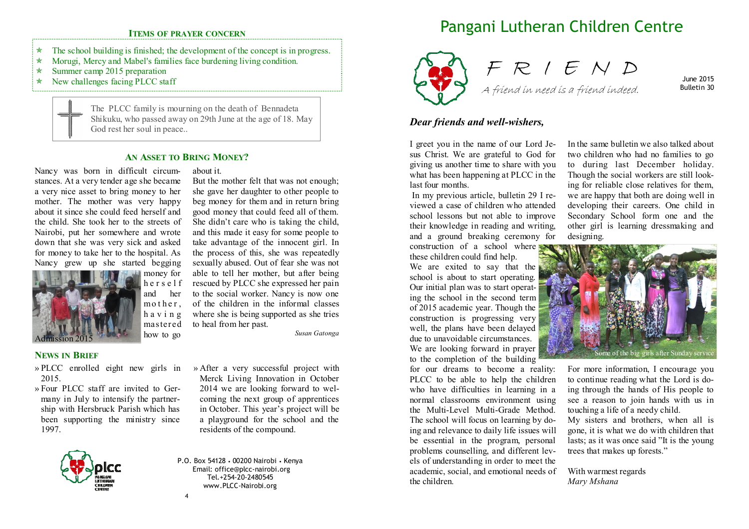## **ITEMS OF PRAYER CONCERN**

- $\star$ The school building is finished; the development of the concept is in progress.
- $\star$ Morugi, Mercy and Mabel's families face burdening living condition.
- $\star$ Summer camp 2015 preparation
- $\star$ New challenges facing PLCC staff

The PLCC family is mourning on the death of Bennadeta Shikuku, who passed away on 29th June at the age of 18. May God rest her soul in peace..

about it.

## **AN ASSET TO BRING MONEY?**

Nancy was born in difficult circumstances. At a very tender age she became a very nice asset to bring money to her mother. The mother was very happy about it since she could feed herself and the child. She took her to the streets of Nairobi, put her somewhere and wrote down that she was very sick and asked for money to take her to the hospital. As Nancy grew up she started begging



 money for <sup>h</sup> <sup>e</sup> <sup>r</sup> <sup>s</sup> <sup>e</sup> <sup>l</sup> <sup>f</sup> and her m o t h e  $r$ , <sup>h</sup> <sup>a</sup> <sup>v</sup> <sup>i</sup> <sup>n</sup> <sup>g</sup> mastered how to go sexually abused. Out of fear she was not able to tell her mother, but after being rescued by PLCC she expressed her pain to the social worker. Nancy is now one of the children in the informal classes where she is being supported as she tries to heal from her past.

## **NEWS IN BRIEF**

- » PLCC enrolled eight new girls in 2015.
- » Four PLCC staff are invited to Germany in July to intensify the partnership with Hersbruck Parish which has been supporting the ministry since 1997.



» After a very successful project with Merck Living Innovation in October 2014 we are looking forward to welcoming the next group of apprentices in October. This year's project will be a playground for the school and the residents of the compound.

*Susan Gatonga* 

 But the mother felt that was not enough; she gave her daughter to other people to beg money for them and in return bring good money that could feed all of them. She didn't care who is taking the child, and this made it easy for some people to take advantage of the innocent girl. In the process of this, she was repeatedly

P.O. Box 54128 • 00200 Nairobi • Kenya Email: office@plcc-nairobi.org Tel.+254-20-2480545 www.PLCC-Nairobi.org

# Pangani Lutheran Children Centre



F R I E N D A friend in need is a friend indeed.

June 2015 Bulletin 30

### *Dear friends and well-wishers,*

I greet you in the name of our Lord Jesus Christ. We are grateful to God for giving us another time to share with you what has been happening at PLCC in the last four months.

 In my previous article, bulletin 29 I reviewed a case of children who attended school lessons but not able to improve their knowledge in reading and writing, and a ground breaking ceremony for

construction of a school where these children could find help.

 We are exited to say that the school is about to start operating. Our initial plan was to start operating the school in the second term of 2015 academic year. Though the construction is progressing very well, the plans have been delayed due to unavoidable circumstances. We are looking forward in prayer to the completion of the building

 for our dreams to become a reality: PLCC to be able to help the children who have difficulties in learning in a normal classrooms environment using the Multi-Level Multi-Grade Method. The school will focus on learning by doing and relevance to daily life issues will be essential in the program, personal problems counselling, and different levels of understanding in order to meet the academic, social, and emotional needs of the children.

In the same bulletin we also talked about two children who had no families to go to during last December holiday. Though the social workers are still looking for reliable close relatives for them, we are happy that both are doing well in developing their careers. One child in Secondary School form one and the other girl is learning dressmaking and designing.



For more information, I encourage you to continue reading what the Lord is doing through the hands of His people to see a reason to join hands with us in touching a life of a needy child. My sisters and brothers, when all is gone, it is what we do with children that lasts; as it was once said "It is the young trees that makes up forests."

With warmest regards *Mary Mshana* 

4